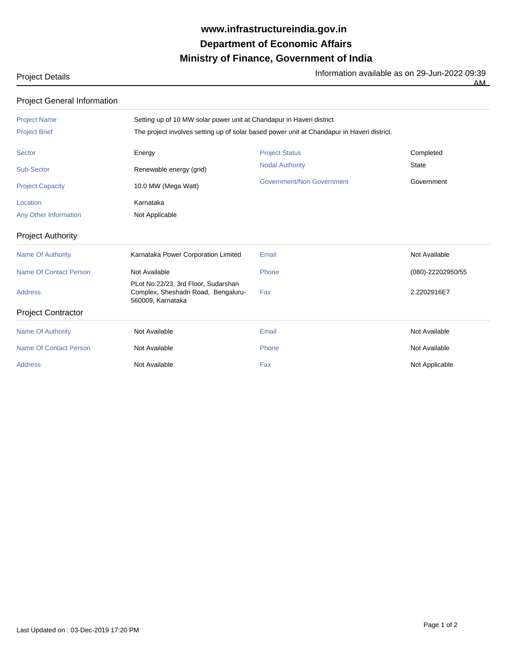## **Ministry of Finance, Government of India Department of Economic Affairs www.infrastructureindia.gov.in**

## Project Details **Information available as on 29-Jun-2022** 09:39

 $\overline{AM}$ 

| <b>Project General Information</b> |                                                                                                 |                           |                   |  |
|------------------------------------|-------------------------------------------------------------------------------------------------|---------------------------|-------------------|--|
| <b>Project Name</b>                | Setting up of 10 MW solar power unit at Chandapur in Haveri district                            |                           |                   |  |
| <b>Project Brief</b>               | The project involves setting up of solar based power unit at Chandapur in Haveri district.      |                           |                   |  |
| <b>Sector</b>                      | Energy                                                                                          | <b>Project Status</b>     | Completed         |  |
| <b>Sub-Sector</b>                  | Renewable energy (grid)                                                                         | <b>Nodal Authority</b>    | <b>State</b>      |  |
| <b>Project Capacity</b>            | 10.0 MW (Mega Watt)                                                                             | Government/Non Government | Government        |  |
| Location                           | Karnataka                                                                                       |                           |                   |  |
| Any Other Information              | Not Applicable                                                                                  |                           |                   |  |
| <b>Project Authority</b>           |                                                                                                 |                           |                   |  |
| <b>Name Of Authority</b>           | Karnataka Power Corporation Limited                                                             | Email                     | Not Available     |  |
| <b>Name Of Contact Person</b>      | Not Available                                                                                   | Phone                     | (080)-22202950/55 |  |
| <b>Address</b>                     | PLot No.22/23, 3rd Floor, Sudarshan<br>Complex, Sheshadri Road, Bengaluru-<br>560009, Karnataka | Fax                       | 2.2202916E7       |  |
| <b>Project Contractor</b>          |                                                                                                 |                           |                   |  |
| <b>Name Of Authority</b>           | Not Available                                                                                   | Email                     | Not Available     |  |
| <b>Name Of Contact Person</b>      | Not Available                                                                                   | Phone                     | Not Available     |  |
| <b>Address</b>                     | Not Available                                                                                   | Fax                       | Not Applicable    |  |
|                                    |                                                                                                 |                           |                   |  |